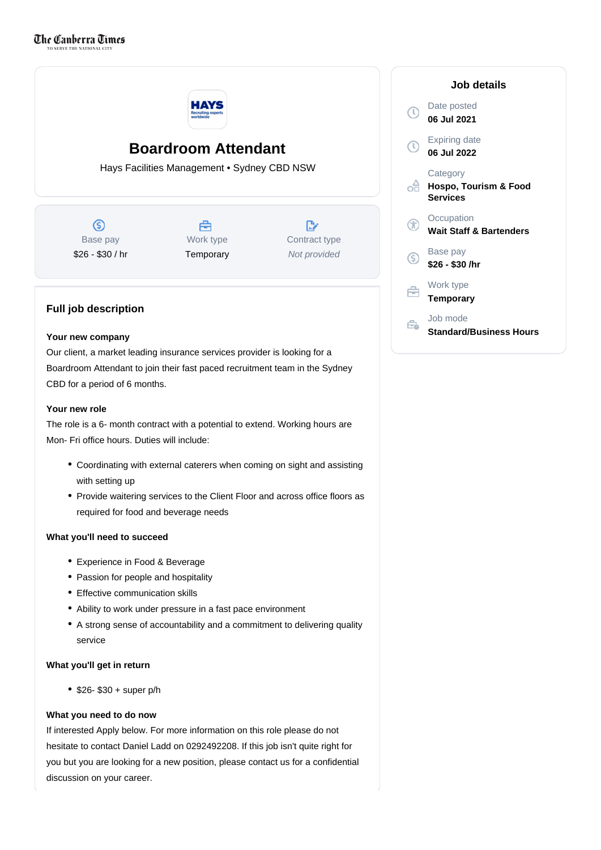

# **Boardroom Attendant**

Hays Facilities Management • Sydney CBD NSW

 $\circledS$ Base pay \$26 - \$30 / hr

合 Work type **Temporary** 

D. Contract type Not provided

## **Full job description**

#### **Your new company**

Our client, a market leading insurance services provider is looking for a Boardroom Attendant to join their fast paced recruitment team in the Sydney CBD for a period of 6 months.

### **Your new role**

The role is a 6- month contract with a potential to extend. Working hours are Mon- Fri office hours. Duties will include:

- Coordinating with external caterers when coming on sight and assisting with setting up
- Provide waitering services to the Client Floor and across office floors as required for food and beverage needs

#### **What you'll need to succeed**

- Experience in Food & Beverage
- Passion for people and hospitality
- Effective communication skills
- Ability to work under pressure in a fast pace environment
- A strong sense of accountability and a commitment to delivering quality service

#### **What you'll get in return**

 $•$  \$26- \$30 + super p/h

### **What you need to do now**

If interested Apply below. For more information on this role please do not hesitate to contact Daniel Ladd on 0292492208. If this job isn't quite right for you but you are looking for a new position, please contact us for a confidential discussion on your career.

|    | Job details                                          |
|----|------------------------------------------------------|
|    | Date posted<br>06 Jul 2021                           |
|    | <b>Expiring date</b><br>06 Jul 2022                  |
|    | Category<br>Hospo, Tourism & Food<br><b>Services</b> |
|    | Occupation<br><b>Wait Staff &amp; Bartenders</b>     |
| (S | Base pay<br>\$26 - \$30 /hr                          |
|    | Work type<br><b>Temporary</b>                        |
|    | Job mode<br>Standard/Business Hours                  |